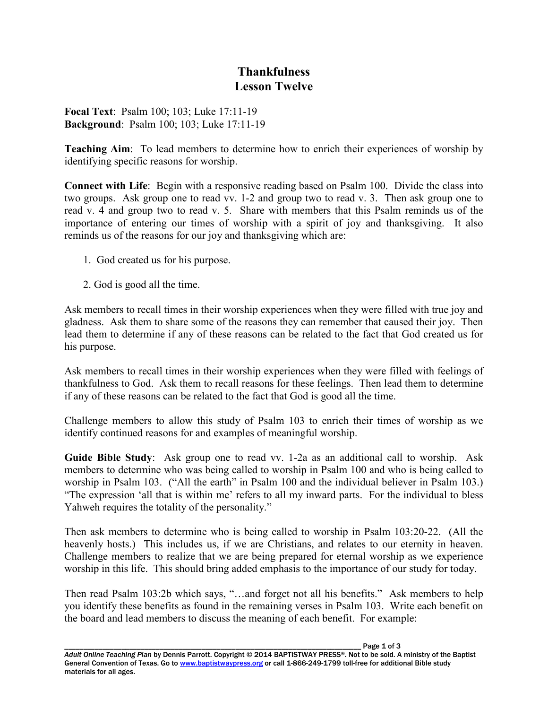## **Thankfulness Lesson Twelve**

**Focal Text**: Psalm 100; 103; Luke 17:11-19 **Background**: Psalm 100; 103; Luke 17:11-19

**Teaching Aim**: To lead members to determine how to enrich their experiences of worship by identifying specific reasons for worship.

**Connect with Life**: Begin with a responsive reading based on Psalm 100. Divide the class into two groups. Ask group one to read vv. 1-2 and group two to read v. 3. Then ask group one to read v. 4 and group two to read v. 5. Share with members that this Psalm reminds us of the importance of entering our times of worship with a spirit of joy and thanksgiving. It also reminds us of the reasons for our joy and thanksgiving which are:

- 1. God created us for his purpose.
- 2. God is good all the time.

Ask members to recall times in their worship experiences when they were filled with true joy and gladness. Ask them to share some of the reasons they can remember that caused their joy. Then lead them to determine if any of these reasons can be related to the fact that God created us for his purpose.

Ask members to recall times in their worship experiences when they were filled with feelings of thankfulness to God. Ask them to recall reasons for these feelings. Then lead them to determine if any of these reasons can be related to the fact that God is good all the time.

Challenge members to allow this study of Psalm 103 to enrich their times of worship as we identify continued reasons for and examples of meaningful worship.

**Guide Bible Study**: Ask group one to read vv. 1-2a as an additional call to worship. Ask members to determine who was being called to worship in Psalm 100 and who is being called to worship in Psalm 103. ("All the earth" in Psalm 100 and the individual believer in Psalm 103.) "The expression 'all that is within me' refers to all my inward parts. For the individual to bless Yahweh requires the totality of the personality."

Then ask members to determine who is being called to worship in Psalm 103:20-22. (All the heavenly hosts.) This includes us, if we are Christians, and relates to our eternity in heaven. Challenge members to realize that we are being prepared for eternal worship as we experience worship in this life. This should bring added emphasis to the importance of our study for today.

Then read Psalm 103:2b which says, "…and forget not all his benefits." Ask members to help you identify these benefits as found in the remaining verses in Psalm 103. Write each benefit on the board and lead members to discuss the meaning of each benefit. For example:

Page 1 of 3 *Adult Online Teaching Plan* by Dennis Parrott. Copyright © 2014 BAPTISTWAY PRESS®. Not to be sold. A ministry of the Baptist General Convention of Texas. Go to www.baptistwaypress.org or call 1-866-249-1799 toll-free for additional Bible study materials for all ages.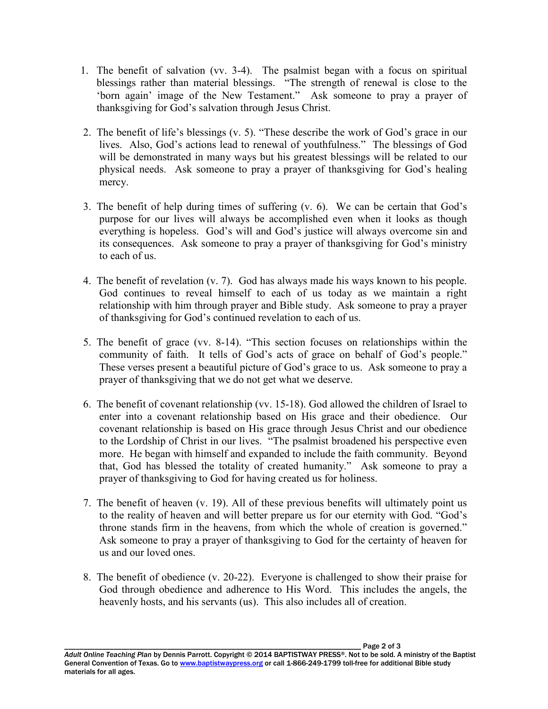- 1. The benefit of salvation (vv. 3-4). The psalmist began with a focus on spiritual blessings rather than material blessings. "The strength of renewal is close to the 'born again' image of the New Testament." Ask someone to pray a prayer of thanksgiving for God's salvation through Jesus Christ.
- 2. The benefit of life's blessings (v. 5). "These describe the work of God's grace in our lives. Also, God's actions lead to renewal of youthfulness." The blessings of God will be demonstrated in many ways but his greatest blessings will be related to our physical needs. Ask someone to pray a prayer of thanksgiving for God's healing mercy.
- 3. The benefit of help during times of suffering (v. 6). We can be certain that God's purpose for our lives will always be accomplished even when it looks as though everything is hopeless. God's will and God's justice will always overcome sin and its consequences. Ask someone to pray a prayer of thanksgiving for God's ministry to each of us.
- 4. The benefit of revelation (v. 7). God has always made his ways known to his people. God continues to reveal himself to each of us today as we maintain a right relationship with him through prayer and Bible study. Ask someone to pray a prayer of thanksgiving for God's continued revelation to each of us.
- 5. The benefit of grace (vv. 8-14). "This section focuses on relationships within the community of faith. It tells of God's acts of grace on behalf of God's people." These verses present a beautiful picture of God's grace to us. Ask someone to pray a prayer of thanksgiving that we do not get what we deserve.
- 6. The benefit of covenant relationship (vv. 15-18). God allowed the children of Israel to enter into a covenant relationship based on His grace and their obedience. Our covenant relationship is based on His grace through Jesus Christ and our obedience to the Lordship of Christ in our lives. "The psalmist broadened his perspective even more. He began with himself and expanded to include the faith community. Beyond that, God has blessed the totality of created humanity." Ask someone to pray a prayer of thanksgiving to God for having created us for holiness.
- 7. The benefit of heaven (v. 19). All of these previous benefits will ultimately point us to the reality of heaven and will better prepare us for our eternity with God. "God's throne stands firm in the heavens, from which the whole of creation is governed." Ask someone to pray a prayer of thanksgiving to God for the certainty of heaven for us and our loved ones.
- 8. The benefit of obedience (v. 20-22). Everyone is challenged to show their praise for God through obedience and adherence to His Word. This includes the angels, the heavenly hosts, and his servants (us). This also includes all of creation.

*Adult Online Teaching Plan* by Dennis Parrott. Copyright © 2014 BAPTISTWAY PRESS®. Not to be sold. A ministry of the Baptist General Convention of Texas. Go to www.baptistwaypress.org or call 1-866-249-1799 toll-free for additional Bible study materials for all ages.